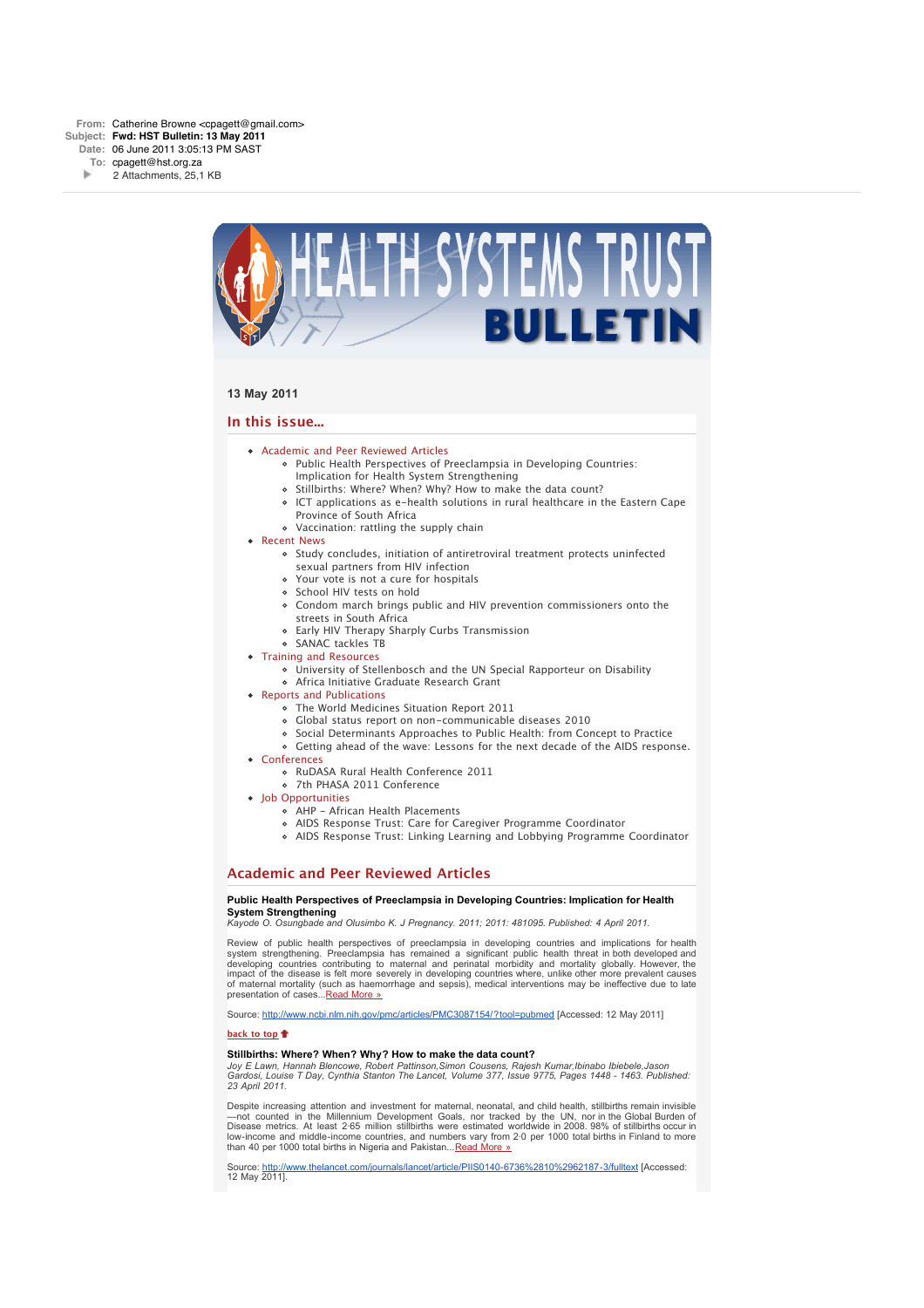

# **13 May 2011**

# **In this issue...**

- Academic and Peer Reviewed Articles
	- Public Health Perspectives of Preeclampsia in Developing Countries: Implication for Health System Strengthening
	- o Stillbirths: Where? When? Why? How to make the data count?
	- ICT applications as e-health solutions in rural healthcare in the Eastern Cape Province of South Africa
	- Vaccination: rattling the supply chain
- Recent News
	- o Study concludes, initiation of antiretroviral treatment protects uninfected
		- sexual partners from HIV infection
	- Your vote is not a cure for hospitals
	- o School HIV tests on hold
	- Condom march brings public and HIV prevention commissioners onto the streets in South Africa
	- Early HIV Therapy Sharply Curbs Transmission
	- SANAC tackles TB
- Training and Resources
	- University of Stellenbosch and the UN Special Rapporteur on Disability
	- Africa Initiative Graduate Research Grant
- Reports and Publications
	- The World Medicines Situation Report 2011
	- Global status report on non-communicable diseases 2010
	- Social Determinants Approaches to Public Health: from Concept to Practice
	- Getting ahead of the wave: Lessons for the next decade of the AIDS response.
- Conferences
	- RuDASA Rural Health Conference 2011
	- 7th PHASA 2011 Conference
- Job Opportunities
	- AHP African Health Placements
	- AIDS Response Trust: Care for Caregiver Programme Coordinator
	- AIDS Response Trust: Linking Learning and Lobbying Programme Coordinator

# **Academic and Peer Reviewed Articles**

#### **Public Health Perspectives of Preeclampsia in Developing Countries: Implication for Health System Strengthening**

*Kayode O. Osungbade and Olusimbo K. J Pregnancy. 2011; 2011: 481095. Published: 4 April 2011.*

Review of public health perspectives of preeclampsia in developing countries and implications for health system strengthening. Preeclampsia has remained a significant public health threat in both developed and developing countries contributing to maternal and perinatal morbidity and mortality globally. However, the impact of the disease is felt more severely in developing countries where, unlike other more prevalent causes of maternal mortality (such as haemorrhage and sepsis), medical interventions may be ineffective due to late presentation of cases...Read More »

Source: http://www.ncbi.nlm.nih.gov/pmc/articles/PMC3087154/?tool=pubmed [Accessed: 12 May 2011]

#### **back to top**

# **Stillbirths: Where? When? Why? How to make the data count?**

*Joy E Lawn, Hannah Blencowe, Robert Pattinson,Simon Cousens, Rajesh Kumar,Ibinabo Ibiebele,Jason Gardosi, Louise T Day, Cynthia Stanton The Lancet, Volume 377, Issue 9775, Pages 1448 - 1463. Published: 23 April 2011.*

Despite increasing attention and investment for maternal, neonatal, and child health, stillbirths remain invisible —not counted in the Millennium Development Goals, nor tracked by the UN, nor in the Global Burden of Disease metrics. At least 2·65 million stillbirths were estimated worldwide in 2008. 98% of stillbirths occur in low-income and middle-income countries, and numbers vary from 2·0 per 1000 total births in Finland to more than 40 per 1000 total births in Nigeria and Pakistan... Read More »

Source: http://www.thelancet.com/journals/lancet/article/PIIS0140-6736%2810%2962187-3/fulltext [Accessed: 12 May 2011].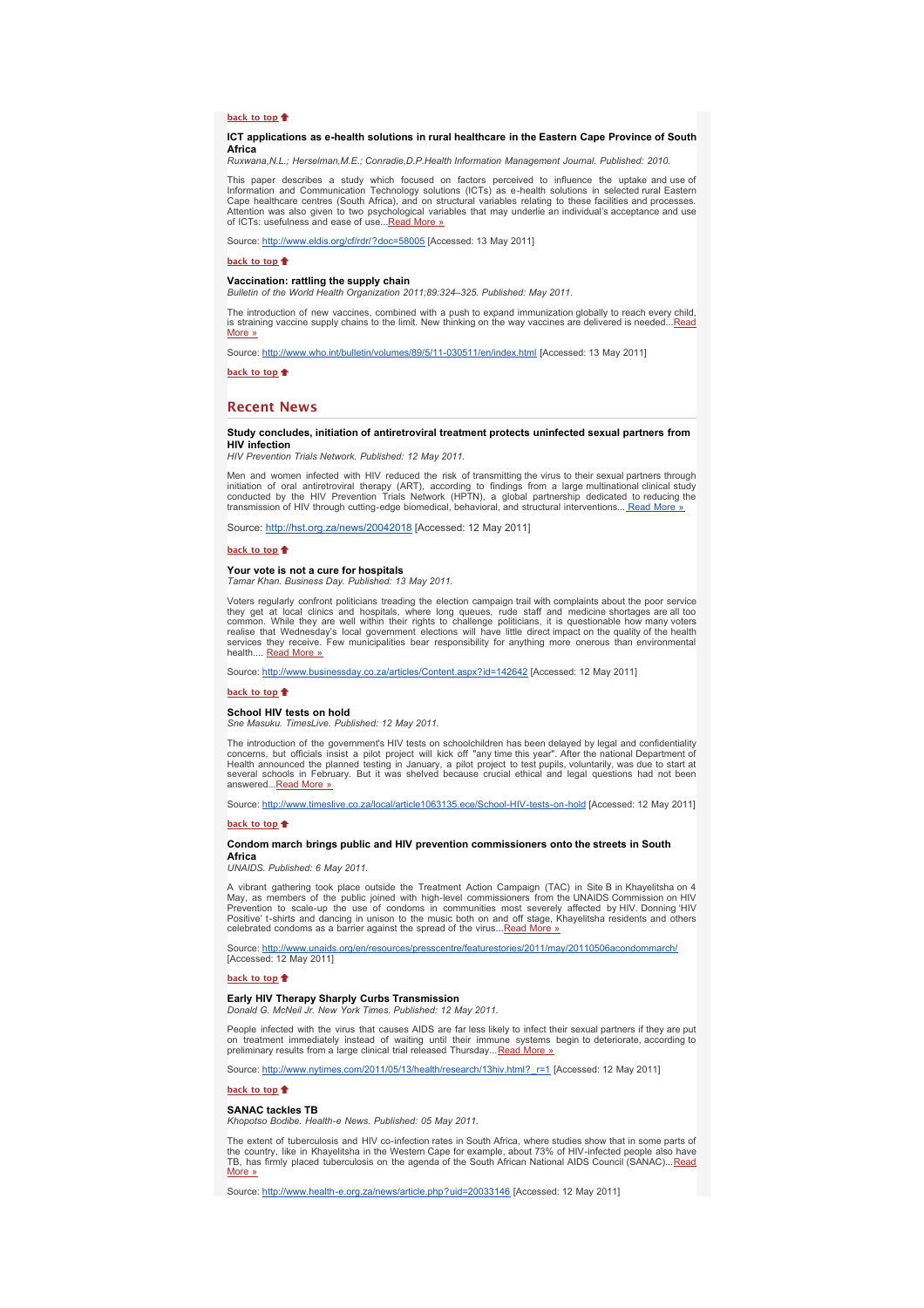# **back to top**

#### **ICT applications as e-health solutions in rural healthcare in the Eastern Cape Province of South Africa**

*Ruxwana,N.L.; Herselman,M.E.; Conradie,D.P.Health Information Management Journal. Published: 2010.*

This paper describes a study which focused on factors perceived to influence the uptake and use.of<br>Information and Communication Technology solutions (ICTs) as e-health solutions in selected rural Eastern<br>Cape healthcare c Attention was also given to two psychological variables that may underlie an individual's acceptance and use of ICTs: usefulness and ease of use...Read More »

Source: http://www.eldis.org/cf/rdr/?doc=58005 [Accessed: 13 May 2011]

**back to top**

**Vaccination: rattling the supply chain** *Bulletin of the World Health Organization 2011;89:324–325. Published: May 2011.*

The introduction of new vaccines, combined with a push to expand immunization globally to reach every child,<br>is straining vaccine supply chains to the limit. New thinking on the way vaccines are delivered is needed...<u>Read</u> More »

Source: http://www.who.int/bulletin/volumes/89/5/11-030511/en/index.html [Accessed: 13 May 2011]

**back to top**

#### **Recent News**

# **Study concludes, initiation of antiretroviral treatment protects uninfected sexual partners from HIV infection**

*HIV Prevention Trials Network. Published: 12 May 2011.*

Men and women infected with HIV reduced the risk of transmitting the virus to their sexual partners through initiation of oral antiretroviral therapy (ART), according to findings from a large multinational clinical study<br>conducted by the HIV Prevention Trials Network (HPTN), a global partnership dedicated to reducing the<br>transmi

Source: http://hst.org.za/news/20042018 [Accessed: 12 May 2011]

back to top<sup>#</sup>

# **Your vote is not a cure for hospitals**

*Tamar Khan. Business Day. Published: 13 May 2011.*

Voters regularly confront politicians treading the election campaign trail with complaints about the poor service they get at local clinics and hospitals, where long queues, rude staff and medicine shortages are all too<br>common. While they are well within their rights to challenge politicians, it is questionable how many voters<br>realise health.... **Read More** »

Source: http://www.businessday.co.za/articles/Content.aspx?id=142642 [Accessed: 12 May 2011]

#### **back to top**

# **School HIV tests on hold**

*Sne Masuku. TimesLive. Published: 12 May 2011.*

The introduction of the government's HIV tests on schoolchildren has been delayed by legal and confidentiality concerns, but officials insist a pilot project will kick off "any time this year". After the national Department of<br>Health announced the planned testing in January, a pilot project to test pupils, voluntarily, was due to s several schools in February. But it was shelved because crucial ethical and legal questions had not been answered...Read More »

Source: http://www.timeslive.co.za/local/article1063135.ece/School-HIV-tests-on-hold [Accessed: 12 May 2011]

# **back to top**

#### **Condom march brings public and HIV prevention commissioners onto the streets in South Africa**

*UNAIDS. Published: 6 May 2011.*

A vibrant gathering took place outside the Treatment Action Campaign (TAC) in Site B in Khayelitsha on 4 May, as members of the public joined with high-level commissioners from the UNAIDS Commission on HIV Prevention to scale-up the use of condoms in communities most severely affected by HIV. Donning HIV<br>Positive't-shirts and dancing in unison to the music both on and off stage, Khayelitsha residents and others<br>celebrated co

Source: <u>http://www.unaids.org/en/resources/presscentre/featurestories/2011/may/20110506acondommarch/</u><br>[Accessed: 12 May 2011]

# **back to top**

# **Early HIV Therapy Sharply Curbs Transmission** *Donald G. McNeil Jr. New York Times. Published: 12 May 2011.*

People infected with the virus that causes AIDS are far less likely to infect their sexual partners if they are put on treatment immediately instead of waiting until their immune systems begin to deteriorate, according to<br>preliminary results from a large clinical trial released Thursday...<u>Read More »</u>

Source: http://www.nytimes.com/2011/05/13/health/research/13hiv.html?\_r=1 [Accessed: 12 May 2011]

#### **back to top**

#### **SANAC tackles TB**

*Khopotso Bodibe. Health-e News. Published: 05 May 2011.*

The extent of tuberculosis and HIV co-infection rates in South Africa, where studies show that in some parts of<br>the country, like in Khayelitsha in the Western Cape for example, about 73% of HIV-infected people also have<br>T

Source: http://www.health-e.org.za/news/article.php?uid=20033146 [Accessed: 12 May 2011]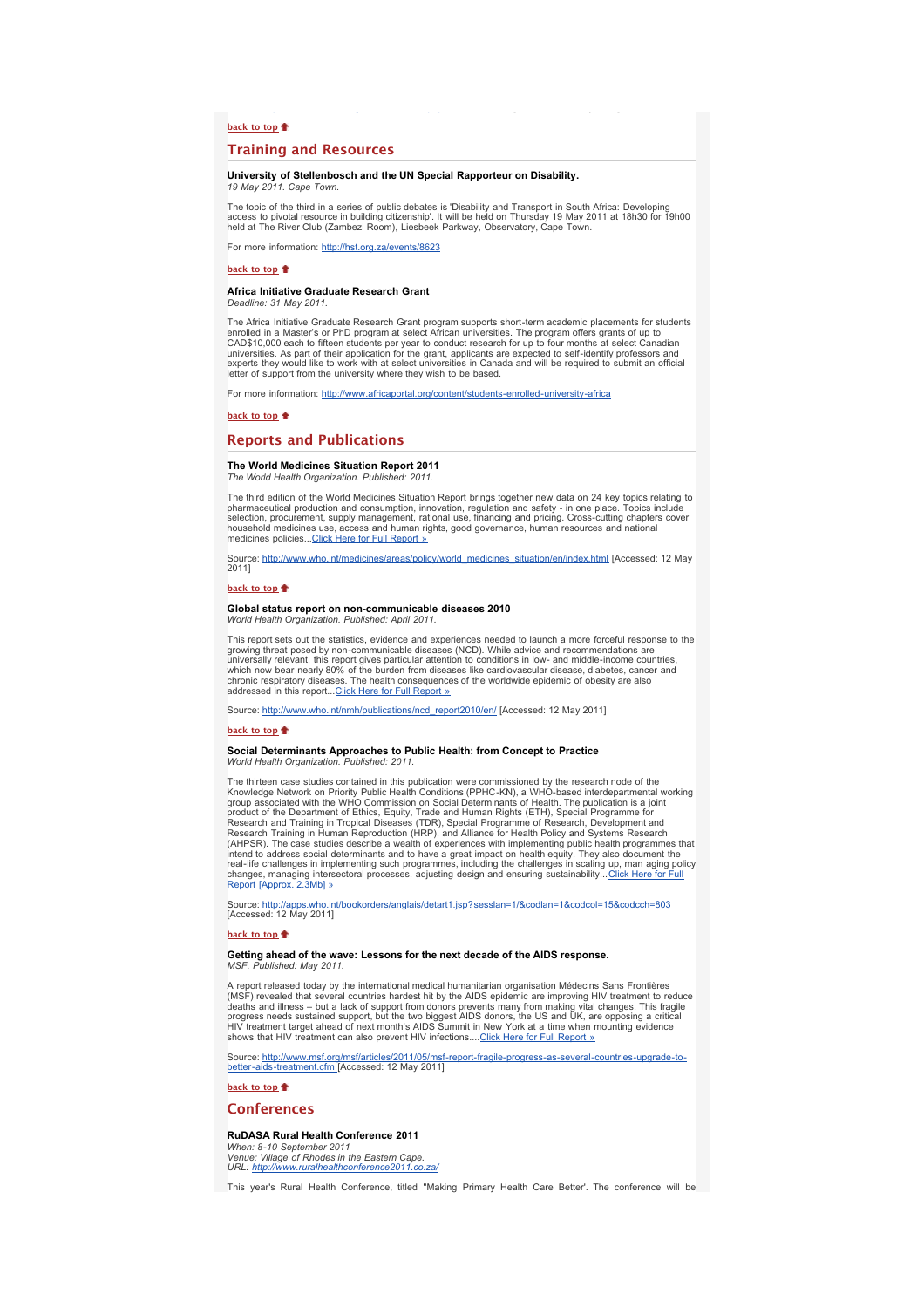# **back to top**

# **Training and Resources**

#### **University of Stellenbosch and the UN Special Rapporteur on Disability.** *19 May 2011. Cape Town.*

The topic of the third in a series of public debates is 'Disability and Transport in South Africa: Developing access to pivotal resource in building citizenship'. It will be held on Thursday 19 May 2011 at 18h30 for 19h00 held at The River Club (Zambezi Room), Liesbeek Parkway, Observatory, Cape Town.

p g p p [ y ]

For more information: http://hst.org.za/events/8623

#### **back to top**

# **Africa Initiative Graduate Research Grant**

*Deadline: 31 May 2011.*

The Africa Initiative Graduate Research Grant program supports short-term academic placements for students enrolled in a Master's or PhD program at select African universities. The program offers grants of up to<br>CAD\$10,000 each to fifteen students per year to conduct research for up to four months at select Canadian<br>universitie letter of support from the university where they wish to be based.

For more information: http://www.africaportal.org/content/students-enrolled-university-africa

#### **back to top**

# **Reports and Publications**

### **The World Medicines Situation Report 2011** *The World Health Organization. Published: 2011.*

The third edition of the World Medicines Situation Report brings together new data on 24 key topics relating to<br>pharmaceutical production and consumption, innovation, regulation and safety - in one place. Topics include<br>se medicines policies...Click Here for Full Report »

Source: http://www.who.int/medicines/areas/policy/world\_medicines\_situation/en/index.html [Accessed: 12 May 2011]

# **back to top**

#### **Global status report on non-communicable diseases 2010** *World Health Organization. Published: April 2011.*

This report sets out the statistics, evidence and experiences needed to launch a more forceful response to the growing threat posed by non-communicable diseases (NCD). While advice and recommendations are universally relevant, this report gives particular attention to conditions in low- and middle-income countries,<br>which now bear nearly 80% of the burden from diseases like cardiovascular disease, diabetes, cancer and<br>chroni addressed in this report...Click Here for Full Report »

Source: http://www.who.int/nmh/publications/ncd\_report2010/en/ [Accessed: 12 May 2011]

#### **back to top**

### **Social Determinants Approaches to Public Health: from Concept to Practice** *World Health Organization. Published: 2011.*

The thirteen case studies contained in this publication were commissioned by the research node of the Knowledge Network on Priority Public Health Conditions (PPHC-KN), a WHO-based interdepartmental working group associated with the WHO Commission on Social Determinants of Health. The publication is a joint product of the Department of Ethics, Equity, Trade and Human Rights (ETH), Special Programme for<br>Research and Training in Tropical Diseases (TDR), Special Programme of Research, Development and<br>Research Training in Human R (AHPSR). The case studies describe a wealth of experiences with implementing public health programmes that<br>intend to address social determinants and to have a great impact on health equity. They also document the<br>real-life changes, managing intersectoral processes, adjusting design and ensuring sustainability...<u>Click Here for Full</u><br><u>Report [Approx. 2.3Mb] »</u>

Source: <u>http://apps.who.int/bookorders/anglais/detart1.jsp?sesslan=1/&codlan=1&codcol=15&codcch=803</u><br>[Accessed: 12 May 2011]

#### **back to top**

#### **Getting ahead of the wave: Lessons for the next decade of the AIDS response.** *MSF. Published: May 2011.*

A report released today by the international medical humanitarian organisation Médecins Sans Frontières (MSF) revealed that several countries hardest hit by the AIDS epidemic are improving HIV treatment to reduce<br>deaths and illness – but a lack of support from donors prevents many from making vital changes. This fragile<br>prog

Source: <u>http://www.msf.org/msf/articles/2011/05/msf-report-fragile-progress-as-several-countries-upgrade-to-<br>better-aids-treatment.cfm\_[Accessed: 12 May 2011]</u>

# **back to top**

# **Conferences**

# **RuDASA Rural Health Conference 2011**

*When: 8-10 September 2011 Venue: Village of Rhodes in the Eastern Cape. URL: http://www.ruralhealthconference* 

This year's Rural Health Conference, titled "Making Primary Health Care Better'. The conference will be